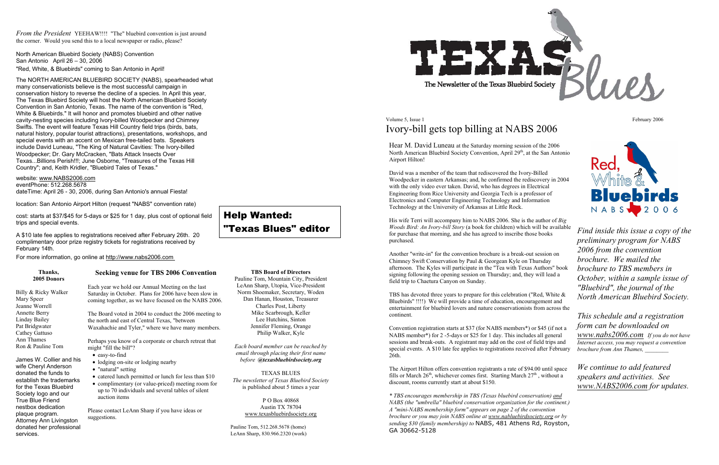*From the President* YEEHAW!!!! "The" bluebird convention is just around the corner. Would you send this to a local newspaper or radio, please?

North American Bluebird Society (NABS) Convention San Antonio April 26 – 30, 2006 "Red, White, & Bluebirds" coming to San Antonio in April!

The NORTH AMERICAN BLUEBIRD SOCIETY (NABS), spearheaded what many conservationists believe is the most successful campaign in conservation history to reverse the decline of a species. In April this year, The Texas Bluebird Society will host the North American Bluebird Society Convention in San Antonio, Texas. The name of the convention is "Red, White & Bluebirds." It will honor and promotes bluebird and other native cavity-nesting species including Ivory-billed Woodpecker and Chimney Swifts. The event will feature Texas Hill Country field trips (birds, bats, natural history, popular tourist attractions), presentations, workshops, and special events with an accent on Mexican free-tailed bats. Speakers include David Luneau, "The King of Natural Cavities: The Ivory-billed Woodpecker; Dr. Gary McCracken, "Bats Attack Insects Over Texas...Billions Perish!!!; June Osborne, "Treasures of the Texas Hill Country"; and, Keith Kridler, "Bluebird Tales of Texas."

website: www.NABS2006.com

eventPhone: 512.268.5678 dateTime: April 26 - 30, 2006, during San Antonio's annual Fiesta!

location: San Antonio Airport Hilton (request "NABS" convention rate)

cost: starts at \$37/\$45 for 5-days or \$25 for 1 day, plus cost of optional field trips and special events.

A \$10 late fee applies to registrations received after February 26th. 20 complimentary door prize registry tickets for registrations received by February 14th.

For more information, go online at http://www.nabs2006.com

#### **Thanks, 2005 Donors**

Billy & Ricky Walker

## Volume 5, Issue 1 February 2006 Ivory-bill gets top billing at NABS 2006

Mary Speer Jeanne Worrell Annette Berry Linday Bailey Pat Bridgwater Cathey Gattuso Ann Thames Ron & Pauline Tom

James W. Collier and his wife Cheryl Anderson donated the funds to establish the trademarks for the Texas Bluebird Society logo and our True Blue Friend nestbox dedication plaque program. Attorney Ann Livingston donated her professional

services.

## **Seeking venue for TBS 2006 Convention**

Each year we hold our Annual Meeting on the last Saturday in October. Plans for 2006 have been slow in coming together, as we have focused on the NABS 2006.

The Board voted in 2004 to conduct the 2006 meeting to the north and east of Central Texas, "between Waxahachie and Tyler," where we have many members.

Perhaps you know of a corporate or church retreat that might "fill the bill"?

- easy-to-find
- lodging on-site or lodging nearby
- "natural" setting
- catered lunch permitted or lunch for less than \$10
- complimentary (or value-priced) meeting room for up to 70 individuals and several tables of silent auction items

Please contact LeAnn Sharp if you have ideas or suggestions.

## **TBS Board of Directors**

Pauline Tom, Mountain City, President LeAnn Sharp, Utopia, Vice-President Norm Shoemaker, Secretary, Woden Dan Hanan, Houston, Treasurer Charles Post, Liberty Mike Scarbrough, Keller Lee Hutchins, Sinton Jennifer Fleming, Orange Philip Walker, Kyle

*Each board member can be reached by email through placing their first name before @texasbluebirdsociety.org*

TEXAS BLUES *The newsletter of Texas Bluebird Society*  is published about 5 times a year

> P O Box 40868 Austin TX 78704 www.texasbluebirdsociety.org

Pauline Tom, 512.268.5678 (home) LeAnn Sharp, 830.966.2320 (work)



The Newsletter of the Texas Bluebird Society

# Help Wanted: "Texas Blues" editor

Hear M. David Luneau at the Saturday morning session of the 2006 North American Bluebird Society Convention, April 29<sup>th</sup>, at the San Antonio Airport Hilton!

David was a member of the team that rediscovered the Ivory-Billed Woodpecker in eastern Arkansas; and, he confirmed the rediscovery in 2004 with the only video ever taken. David, who has degrees in Electrical Engineering from Rice University and Georgia Tech is a professor of Electronics and Computer Engineering Technology and Information Technology at the University of Arkansas at Little Rock.

His wife Terri will accompany him to NABS 2006. She is the author of *Big Woods Bird: An Ivory-bill Story* (a book for children) which will be available for purchase that morning, and she has agreed to inscribe those books purchased.

Another "write-in" for the convention brochure is a break-out session on Chimney Swift Conservation by Paul & Georgean Kyle on Thursday afternoon. The Kyles will participate in the "Tea with Texas Authors" book signing following the opening session on Thursday; and, they will lead a field trip to Chaetura Canyon on Sunday.

TBS has devoted three years to prepare for this celebration ("Red, White & Bluebirds" !!!!) We will provide a time of education, encouragement and entertainment for bluebird lovers and nature conservationists from across the continent.

Convention registration starts at \$37 (for NABS members\*) or \$45 (if not a NABS member\*) for 2 -5-days or \$25 for 1 day. This includes all general sessions and break-outs. A registrant may add on the cost of field trips and special events. A \$10 late fee applies to registrations received after February 26th.

The Airport Hilton offers convention registrants a rate of \$94.00 until space fills or March  $26<sup>th</sup>$ , whichever comes first. Starting March  $27<sup>th</sup>$ , without a discount, rooms currently start at about \$150.

*\* TBS encourages membership in TBS (Texas bluebird conservation) and NABS (the "umbrella" bluebird conservation organization for the continent.) A "mini-NABS membership form" appears on page 2 of the convention brochure or you may join NABS online at www.nabluebirdsociety.org or by sending \$30 (family membership) to* NABS, 481 Athens Rd, Royston, GA 30662-5128



*Find inside this issue a copy of the preliminary program for NABS 2006 from the convention brochure. We mailed the brochure to TBS members in October, within a sample issue of "Bluebird", the journal of the North American Bluebird Society.* 

*This schedule and a registration form can be downloaded on www.nabs2006.com If you do not have Internet access, you may request a convention brochure from Ann Thames, \_\_\_\_\_\_\_\_* 

*We continue to add featured speakers and activities. See www.NABS2006.com for updates.*